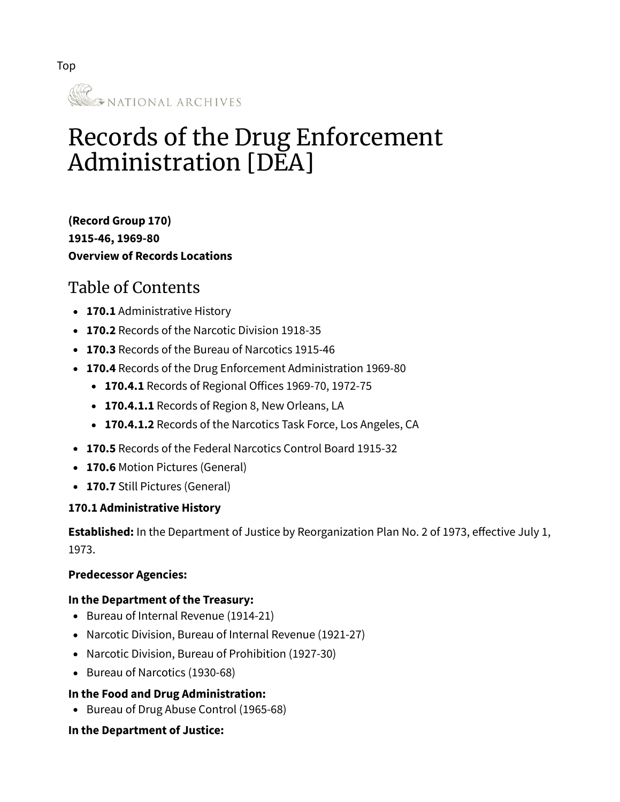

# Records of the Drug Enforcement Administration [DEA]

**(Record Group 170) 1915-46, 1969-80 [Overview of Records Locations](https://www.archives.gov/research/guide-fed-records/index-numeric/101-to-200.html#RG170)**

# Table of Contents

- **[170.1](#page-0-0)** Administrative History
- **[170.2](#page-1-0)** Records of the Narcotic Division 1918-35
- **[170.3](#page-1-1)** Records of the Bureau of Narcotics 1915-46
- **[170.4](#page-2-0)** Records of the Drug Enforcement Administration 1969-80
	- **[170.4.1](#page-2-1)** Records of Regional Offices 1969-70, 1972-75
	- **[170.4.1.1](#page-2-2)** Records of Region 8, New Orleans, LA
	- **[170.4.1.2](#page-2-3)** Records of the Narcotics Task Force, Los Angeles, CA
- **[170.5](#page-2-4)** Records of the Federal Narcotics Control Board 1915-32
- **[170.6](#page-2-5)** Motion Pictures (General)
- **[170.7](#page-2-6)** Still Pictures (General)

#### <span id="page-0-0"></span>**170.1 Administrative History**

**Established:** In the Department of Justice by Reorganization Plan No. 2 of 1973, effective July 1, 1973.

#### **Predecessor Agencies:**

#### **In the Department of the Treasury:**

- Bureau of Internal Revenue (1914-21)
- Narcotic Division, Bureau of Internal Revenue (1921-27)
- Narcotic Division, Bureau of Prohibition (1927-30)
- Bureau of Narcotics (1930-68)

#### **In the Food and Drug Administration:**

• Bureau of Drug Abuse Control (1965-68)

#### **In the Department of Justice:**

Top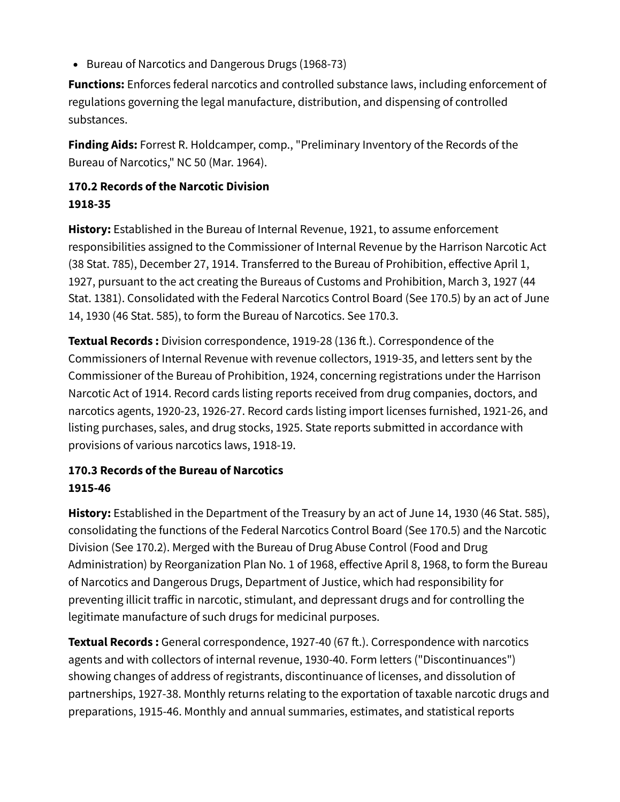• Bureau of Narcotics and Dangerous Drugs (1968-73)

**Functions:** Enforces federal narcotics and controlled substance laws, including enforcement of regulations governing the legal manufacture, distribution, and dispensing of controlled substances.

**Finding Aids:** Forrest R. Holdcamper, comp., "Preliminary Inventory of the Records of the Bureau of Narcotics," NC 50 (Mar. 1964).

#### <span id="page-1-0"></span>**170.2 Records of the Narcotic Division 1918-35**

**History:** Established in the Bureau of Internal Revenue, 1921, to assume enforcement responsibilities assigned to the Commissioner of Internal Revenue by the Harrison Narcotic Act (38 Stat. 785), December 27, 1914. Transferred to the Bureau of Prohibition, effective April 1, 1927, pursuant to the act creating the Bureaus of Customs and Prohibition, March 3, 1927 (44 Stat. 1381). Consolidated with the Federal Narcotics Control Board (See 170.5) by an act of June 14, 1930 (46 Stat. 585), to form the Bureau of Narcotics. See 170.3.

**Textual Records :** Division correspondence, 1919-28 (136 ft.). Correspondence of the Commissioners of Internal Revenue with revenue collectors, 1919-35, and letters sent by the Commissioner of the Bureau of Prohibition, 1924, concerning registrations under the Harrison Narcotic Act of 1914. Record cards listing reports received from drug companies, doctors, and narcotics agents, 1920-23, 1926-27. Record cards listing import licenses furnished, 1921-26, and listing purchases, sales, and drug stocks, 1925. State reports submitted in accordance with provisions of various narcotics laws, 1918-19.

# <span id="page-1-1"></span>**170.3 Records of the Bureau of Narcotics 1915-46**

**History:** Established in the Department of the Treasury by an act of June 14, 1930 (46 Stat. 585), consolidating the functions of the Federal Narcotics Control Board (See 170.5) and the Narcotic Division (See 170.2). Merged with the Bureau of Drug Abuse Control (Food and Drug Administration) by Reorganization Plan No. 1 of 1968, effective April 8, 1968, to form the Bureau of Narcotics and Dangerous Drugs, Department of Justice, which had responsibility for preventing illicit traffic in narcotic, stimulant, and depressant drugs and for controlling the legitimate manufacture of such drugs for medicinal purposes.

**Textual Records :** General correspondence, 1927-40 (67 ft.). Correspondence with narcotics agents and with collectors of internal revenue, 1930-40. Form letters ("Discontinuances") showing changes of address of registrants, discontinuance of licenses, and dissolution of partnerships, 1927-38. Monthly returns relating to the exportation of taxable narcotic drugs and preparations, 1915-46. Monthly and annual summaries, estimates, and statistical reports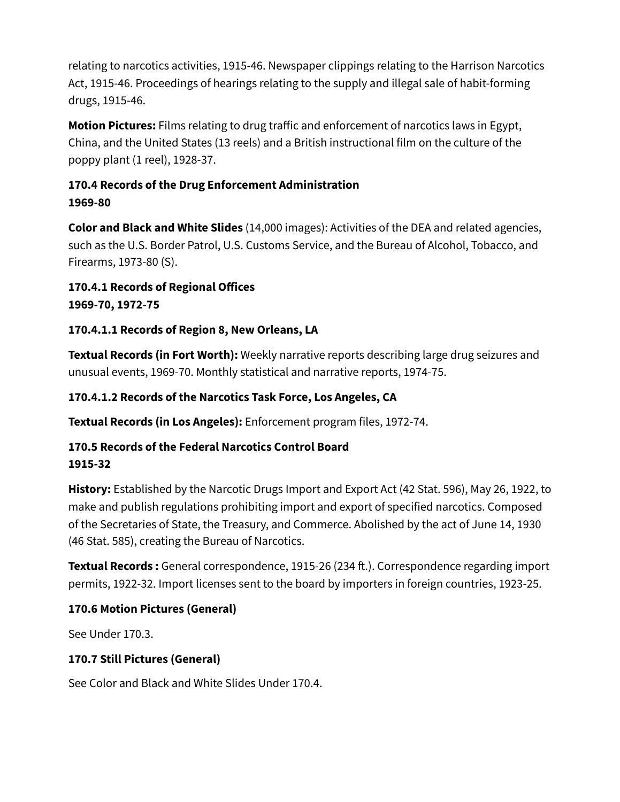relating to narcotics activities, 1915-46. Newspaper clippings relating to the Harrison Narcotics Act, 1915-46. Proceedings of hearings relating to the supply and illegal sale of habit-forming drugs, 1915-46.

**Motion Pictures:** Films relating to drug traffic and enforcement of narcotics laws in Egypt, China, and the United States (13 reels) and a British instructional film on the culture of the poppy plant (1 reel), 1928-37.

#### <span id="page-2-0"></span>**170.4 Records of the Drug Enforcement Administration 1969-80**

**Color and Black and White Slides** (14,000 images): Activities of the DEA and related agencies, such as the U.S. Border Patrol, U.S. Customs Service, and the Bureau of Alcohol, Tobacco, and Firearms, 1973-80 (S).

<span id="page-2-1"></span>**170.4.1 Records of Regional Offices 1969-70, 1972-75**

#### <span id="page-2-2"></span>**170.4.1.1 Records of Region 8, New Orleans, LA**

**Textual Records (in Fort Worth):** Weekly narrative reports describing large drug seizures and unusual events, 1969-70. Monthly statistical and narrative reports, 1974-75.

#### <span id="page-2-3"></span>**170.4.1.2 Records of the Narcotics Task Force, Los Angeles, CA**

**Textual Records (in Los Angeles):** Enforcement program files, 1972-74.

#### <span id="page-2-4"></span>**170.5 Records of the Federal Narcotics Control Board 1915-32**

**History:** Established by the Narcotic Drugs Import and Export Act (42 Stat. 596), May 26, 1922, to make and publish regulations prohibiting import and export of specified narcotics. Composed of the Secretaries of State, the Treasury, and Commerce. Abolished by the act of June 14, 1930 (46 Stat. 585), creating the Bureau of Narcotics.

**Textual Records :** General correspondence, 1915-26 (234 ft.). Correspondence regarding import permits, 1922-32. Import licenses sent to the board by importers in foreign countries, 1923-25.

# <span id="page-2-5"></span>**170.6 Motion Pictures (General)**

See Under 170.3.

# <span id="page-2-6"></span>**170.7 Still Pictures (General)**

See Color and Black and White Slides Under 170.4.